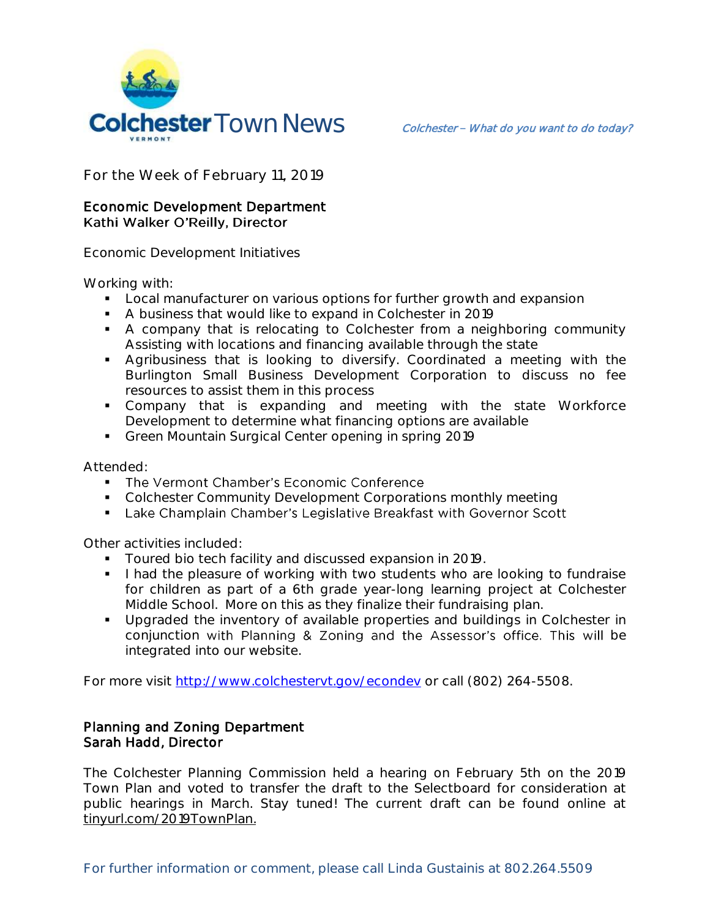

**For the Week of February 11, 2019**

## Economic Development Department Kathi Walker O'Reilly, Director

Economic Development Initiatives

Working with:

- Local manufacturer on various options for further growth and expansion
- A business that would like to expand in Colchester in 2019
- A company that is relocating to Colchester from a neighboring community Assisting with locations and financing available through the state
- Agribusiness that is looking to diversify. Coordinated a meeting with the Burlington Small Business Development Corporation to discuss no fee resources to assist them in this process
- Company that is expanding and meeting with the state Workforce Development to determine what financing options are available
- Green Mountain Surgical Center opening in spring 2019

Attended:

- The Vermont Chamber's Economic Conference
- **Colchester Community Development Corporations monthly meeting**
- Lake Champlain Chamber's Legislative Breakfast with Governor Scott

Other activities included:

- **Toured bio tech facility and discussed expansion in 2019.**
- I had the pleasure of working with two students who are looking to fundraise for children as part of a 6th grade year-long learning project at Colchester Middle School. More on this as they finalize their fundraising plan.
- **Upgraded the inventory of available properties and buildings in Colchester in** conjunction with Planning & Zoning and the Assessor's office. This will be integrated into our website.

For more visit [http://www.colchestervt.gov/e](http://www.colchestervt.gov/)condev or call (802) 264-5508.

## Planning and Zoning Department Sarah Hadd, Director

The Colchester Planning Commission held a hearing on February 5th on the 2019 Town Plan and voted to transfer the draft to the Selectboard for consideration at public hearings in March. Stay tuned! The current draft can be found online at tinyurl.com/2019TownPlan.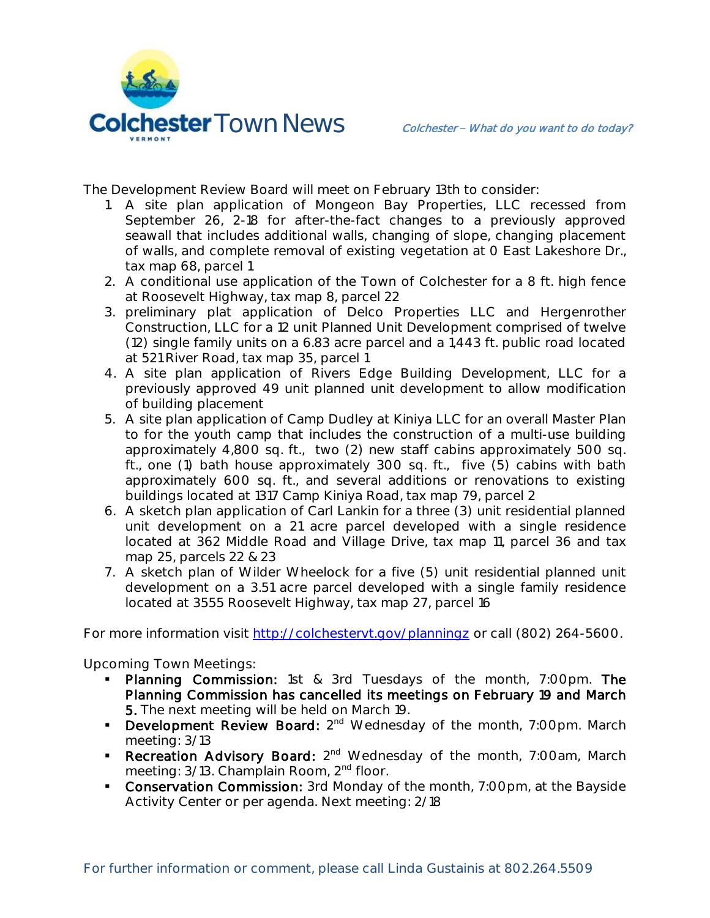

The Development Review Board will meet on February 13th to consider:

- 1. A site plan application of Mongeon Bay Properties, LLC recessed from September 26, 2-18 for after-the-fact changes to a previously approved seawall that includes additional walls, changing of slope, changing placement of walls, and complete removal of existing vegetation at 0 East Lakeshore Dr., tax map 68, parcel 1
- 2. A conditional use application of the Town of Colchester for a 8 ft. high fence at Roosevelt Highway, tax map 8, parcel 22
- 3. preliminary plat application of Delco Properties LLC and Hergenrother Construction, LLC for a 12 unit Planned Unit Development comprised of twelve (12) single family units on a 6.83 acre parcel and a 1,443 ft. public road located at 521 River Road, tax map 35, parcel 1
- 4. A site plan application of Rivers Edge Building Development, LLC for a previously approved 49 unit planned unit development to allow modification of building placement
- 5. A site plan application of Camp Dudley at Kiniya LLC for an overall Master Plan to for the youth camp that includes the construction of a multi-use building approximately 4,800 sq. ft., two (2) new staff cabins approximately 500 sq. ft., one (1) bath house approximately 300 sq. ft., five (5) cabins with bath approximately 600 sq. ft., and several additions or renovations to existing buildings located at 1317 Camp Kiniya Road, tax map 79, parcel 2
- 6. A sketch plan application of Carl Lankin for a three (3) unit residential planned unit development on a 21 acre parcel developed with a single residence located at 362 Middle Road and Village Drive, tax map 11, parcel 36 and tax map 25, parcels 22 & 23
- 7. A sketch plan of Wilder Wheelock for a five (5) unit residential planned unit development on a 3.51 acre parcel developed with a single family residence located at 3555 Roosevelt Highway, tax map 27, parcel 16

For more information visit<http://colchestervt.gov/planningz> or call (802) 264-5600.

**Upcoming Town Meetings:** 

- Planning Commission: 1st & 3rd Tuesdays of the month, 7:00pm. The Planning Commission has cancelled its meetings on February 19 and March 5. The next meeting will be held on March 19.
- Development Review Board: 2<sup>nd</sup> Wednesday of the month, 7:00pm. March meeting: 3/13
- Recreation Advisory Board: 2<sup>nd</sup> Wednesday of the month, 7:00am, March meeting: 3/13. Champlain Room, 2<sup>nd</sup> floor.
- **Conservation Commission:** 3rd Monday of the month, 7:00pm, at the Bayside Activity Center or per agenda. Next meeting: 2/18